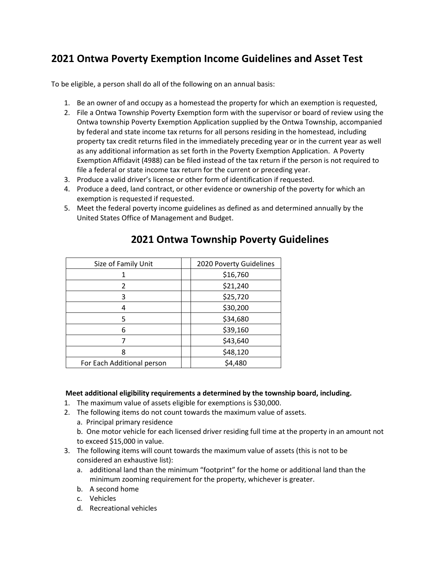## **2021 Ontwa Poverty Exemption Income Guidelines and Asset Test**

To be eligible, a person shall do all of the following on an annual basis:

- 1. Be an owner of and occupy as a homestead the property for which an exemption is requested,
- 2. File a Ontwa Township Poverty Exemption form with the supervisor or board of review using the Ontwa township Poverty Exemption Application supplied by the Ontwa Township, accompanied by federal and state income tax returns for all persons residing in the homestead, including property tax credit returns filed in the immediately preceding year or in the current year as well as any additional information as set forth in the Poverty Exemption Application. A Poverty Exemption Affidavit (4988) can be filed instead of the tax return if the person is not required to file a federal or state income tax return for the current or preceding year.
- 3. Produce a valid driver's license or other form of identification if requested.
- 4. Produce a deed, land contract, or other evidence or ownership of the poverty for which an exemption is requested if requested.
- 5. Meet the federal poverty income guidelines as defined as and determined annually by the United States Office of Management and Budget.

| Size of Family Unit        | 2020 Poverty Guidelines |
|----------------------------|-------------------------|
|                            | \$16,760                |
| 2                          | \$21,240                |
| 3                          | \$25,720                |
| 4                          | \$30,200                |
| 5                          | \$34,680                |
| 6                          | \$39,160                |
|                            | \$43,640                |
| 8                          | \$48,120                |
| For Each Additional person | \$4,480                 |

## **2021 Ontwa Township Poverty Guidelines**

## **Meet additional eligibility requirements a determined by the township board, including.**

- 1. The maximum value of assets eligible for exemptions is \$30,000.
- 2. The following items do not count towards the maximum value of assets.
	- a. Principal primary residence
	- b. One motor vehicle for each licensed driver residing full time at the property in an amount not to exceed \$15,000 in value.
- 3. The following items will count towards the maximum value of assets (this is not to be considered an exhaustive list):
	- a. additional land than the minimum "footprint" for the home or additional land than the minimum zooming requirement for the property, whichever is greater.
	- b. A second home
	- c. Vehicles
	- d. Recreational vehicles